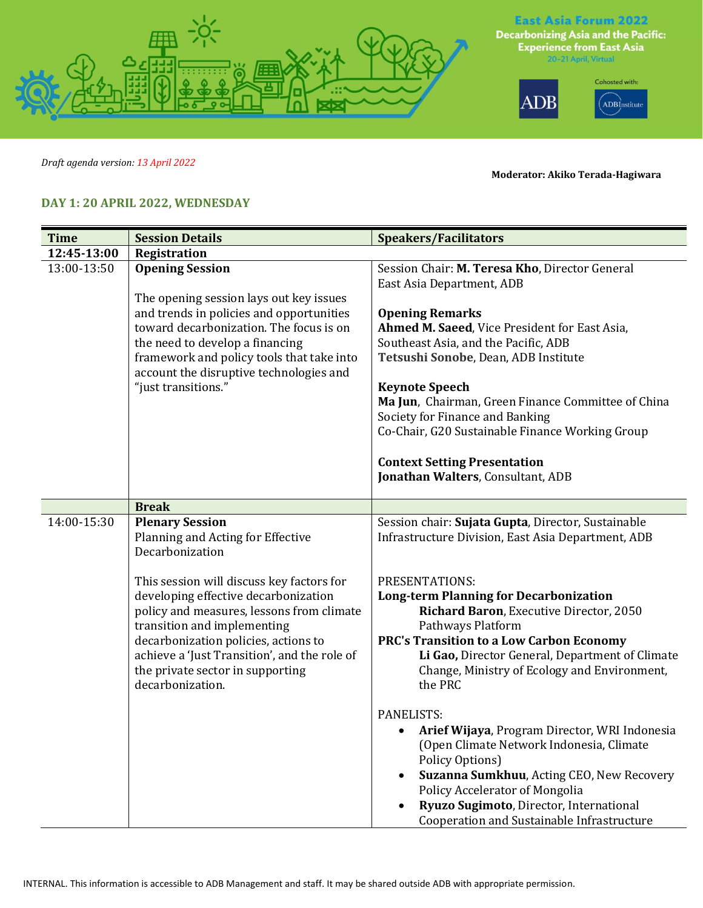

*Draft agenda version: 13 April 2022*

**Moderator: Akiko Terada-Hagiwara**

## **DAY 1: 20 APRIL 2022, WEDNESDAY**

| <b>Time</b> | <b>Session Details</b>                                                                                                                                                                                                                                                                                        | <b>Speakers/Facilitators</b>                                                                                                                                                                                                                                                                                                 |
|-------------|---------------------------------------------------------------------------------------------------------------------------------------------------------------------------------------------------------------------------------------------------------------------------------------------------------------|------------------------------------------------------------------------------------------------------------------------------------------------------------------------------------------------------------------------------------------------------------------------------------------------------------------------------|
| 12:45-13:00 | Registration                                                                                                                                                                                                                                                                                                  |                                                                                                                                                                                                                                                                                                                              |
| 13:00-13:50 | <b>Opening Session</b>                                                                                                                                                                                                                                                                                        | Session Chair: M. Teresa Kho, Director General<br>East Asia Department, ADB                                                                                                                                                                                                                                                  |
|             | The opening session lays out key issues<br>and trends in policies and opportunities<br>toward decarbonization. The focus is on<br>the need to develop a financing<br>framework and policy tools that take into<br>account the disruptive technologies and<br>"just transitions."                              | <b>Opening Remarks</b><br>Ahmed M. Saeed, Vice President for East Asia,<br>Southeast Asia, and the Pacific, ADB<br>Tetsushi Sonobe, Dean, ADB Institute<br><b>Keynote Speech</b><br>Ma Jun, Chairman, Green Finance Committee of China<br>Society for Finance and Banking<br>Co-Chair, G20 Sustainable Finance Working Group |
|             |                                                                                                                                                                                                                                                                                                               | <b>Context Setting Presentation</b><br>Jonathan Walters, Consultant, ADB                                                                                                                                                                                                                                                     |
|             | <b>Break</b>                                                                                                                                                                                                                                                                                                  |                                                                                                                                                                                                                                                                                                                              |
| 14:00-15:30 | <b>Plenary Session</b><br>Planning and Acting for Effective<br>Decarbonization                                                                                                                                                                                                                                | Session chair: Sujata Gupta, Director, Sustainable<br>Infrastructure Division, East Asia Department, ADB                                                                                                                                                                                                                     |
|             | This session will discuss key factors for<br>developing effective decarbonization<br>policy and measures, lessons from climate<br>transition and implementing<br>decarbonization policies, actions to<br>achieve a 'Just Transition', and the role of<br>the private sector in supporting<br>decarbonization. | PRESENTATIONS:<br><b>Long-term Planning for Decarbonization</b><br>Richard Baron, Executive Director, 2050<br>Pathways Platform<br><b>PRC's Transition to a Low Carbon Economy</b><br>Li Gao, Director General, Department of Climate<br>Change, Ministry of Ecology and Environment,<br>the PRC                             |
|             |                                                                                                                                                                                                                                                                                                               | PANELISTS:<br>Arief Wijaya, Program Director, WRI Indonesia<br>(Open Climate Network Indonesia, Climate<br>Policy Options)<br>Suzanna Sumkhuu, Acting CEO, New Recovery<br>Policy Accelerator of Mongolia<br>Ryuzo Sugimoto, Director, International<br>Cooperation and Sustainable Infrastructure                           |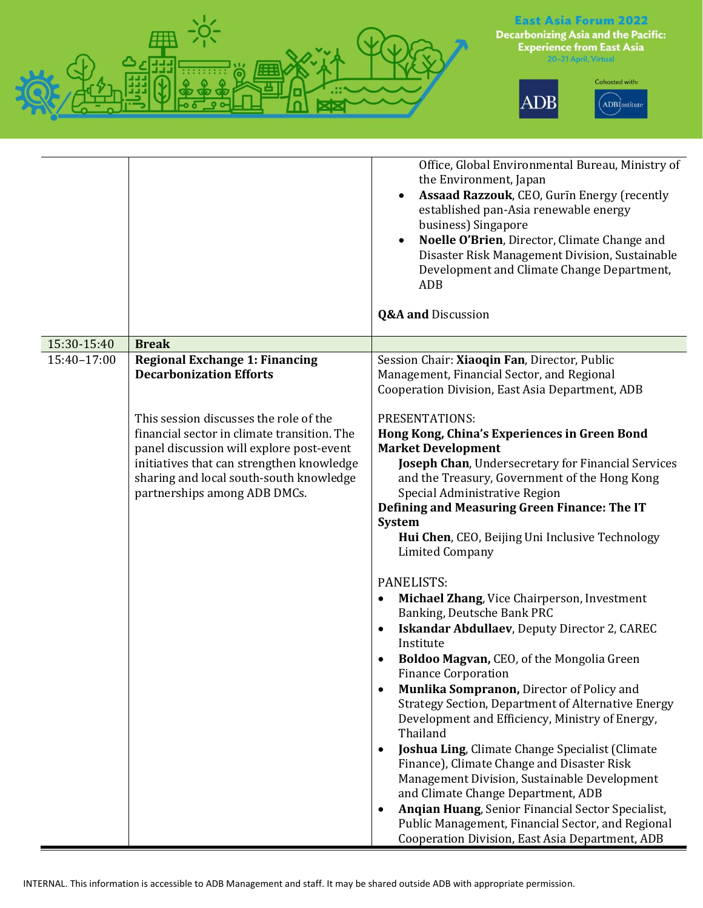

|                            |                                                                                                                                                                                                                                                                                                                                                      | Office, Global Environmental Bureau, Ministry of<br>the Environment, Japan<br>Assaad Razzouk, CEO, Gurin Energy (recently<br>established pan-Asia renewable energy<br>business) Singapore<br>Noelle O'Brien, Director, Climate Change and<br>Disaster Risk Management Division, Sustainable<br>Development and Climate Change Department,<br><b>ADB</b><br><b>Q&amp;A and Discussion</b>                                                                                                                                                                                                                                                                                                                                                                                                                                                                                                                                                                                                                                                                                                                  |
|----------------------------|------------------------------------------------------------------------------------------------------------------------------------------------------------------------------------------------------------------------------------------------------------------------------------------------------------------------------------------------------|-----------------------------------------------------------------------------------------------------------------------------------------------------------------------------------------------------------------------------------------------------------------------------------------------------------------------------------------------------------------------------------------------------------------------------------------------------------------------------------------------------------------------------------------------------------------------------------------------------------------------------------------------------------------------------------------------------------------------------------------------------------------------------------------------------------------------------------------------------------------------------------------------------------------------------------------------------------------------------------------------------------------------------------------------------------------------------------------------------------|
|                            |                                                                                                                                                                                                                                                                                                                                                      |                                                                                                                                                                                                                                                                                                                                                                                                                                                                                                                                                                                                                                                                                                                                                                                                                                                                                                                                                                                                                                                                                                           |
| 15:30-15:40<br>15:40-17:00 | <b>Break</b><br><b>Regional Exchange 1: Financing</b><br><b>Decarbonization Efforts</b><br>This session discusses the role of the<br>financial sector in climate transition. The<br>panel discussion will explore post-event<br>initiatives that can strengthen knowledge<br>sharing and local south-south knowledge<br>partnerships among ADB DMCs. | Session Chair: Xiaoqin Fan, Director, Public<br>Management, Financial Sector, and Regional<br>Cooperation Division, East Asia Department, ADB<br>PRESENTATIONS:<br>Hong Kong, China's Experiences in Green Bond<br><b>Market Development</b><br>Joseph Chan, Undersecretary for Financial Services<br>and the Treasury, Government of the Hong Kong<br>Special Administrative Region<br>Defining and Measuring Green Finance: The IT<br><b>System</b><br>Hui Chen, CEO, Beijing Uni Inclusive Technology<br><b>Limited Company</b><br>PANELISTS:<br>Michael Zhang, Vice Chairperson, Investment<br>$\bullet$<br>Banking, Deutsche Bank PRC<br>Iskandar Abdullaev, Deputy Director 2, CAREC<br>$\bullet$<br>Institute<br>Boldoo Magvan, CEO, of the Mongolia Green<br>$\bullet$<br><b>Finance Corporation</b><br>Munlika Sompranon, Director of Policy and<br>$\bullet$<br>Strategy Section, Department of Alternative Energy<br>Development and Efficiency, Ministry of Energy,<br>Thailand<br>Joshua Ling, Climate Change Specialist (Climate<br>$\bullet$<br>Finance), Climate Change and Disaster Risk |
|                            |                                                                                                                                                                                                                                                                                                                                                      | Management Division, Sustainable Development<br>and Climate Change Department, ADB<br>Angian Huang, Senior Financial Sector Specialist,<br>$\bullet$<br>Public Management, Financial Sector, and Regional                                                                                                                                                                                                                                                                                                                                                                                                                                                                                                                                                                                                                                                                                                                                                                                                                                                                                                 |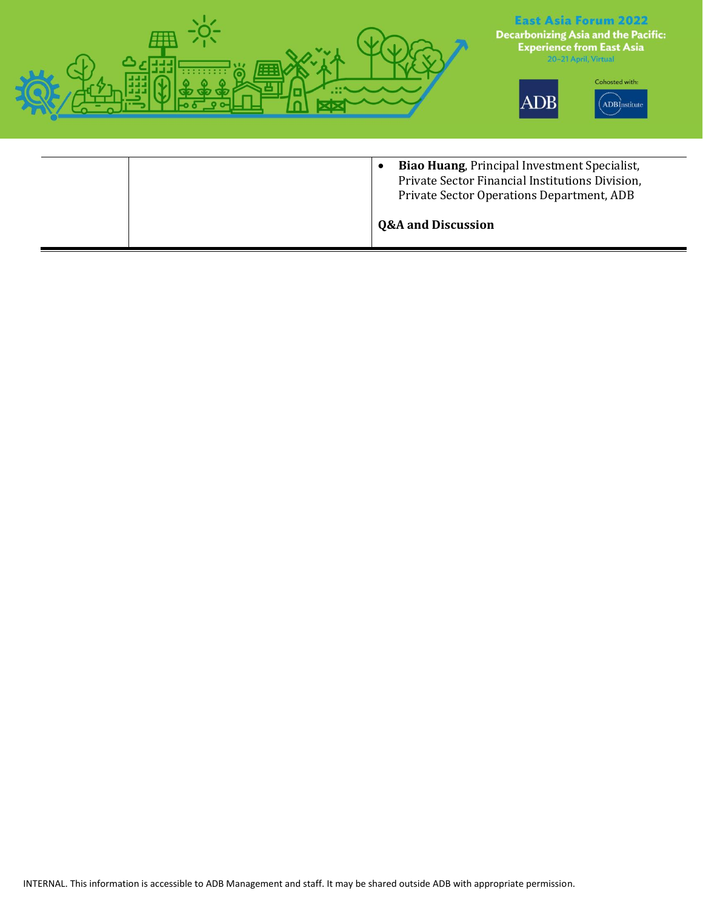

| <b>Q&amp;A and Discussion</b> |  |  |
|-------------------------------|--|--|
|-------------------------------|--|--|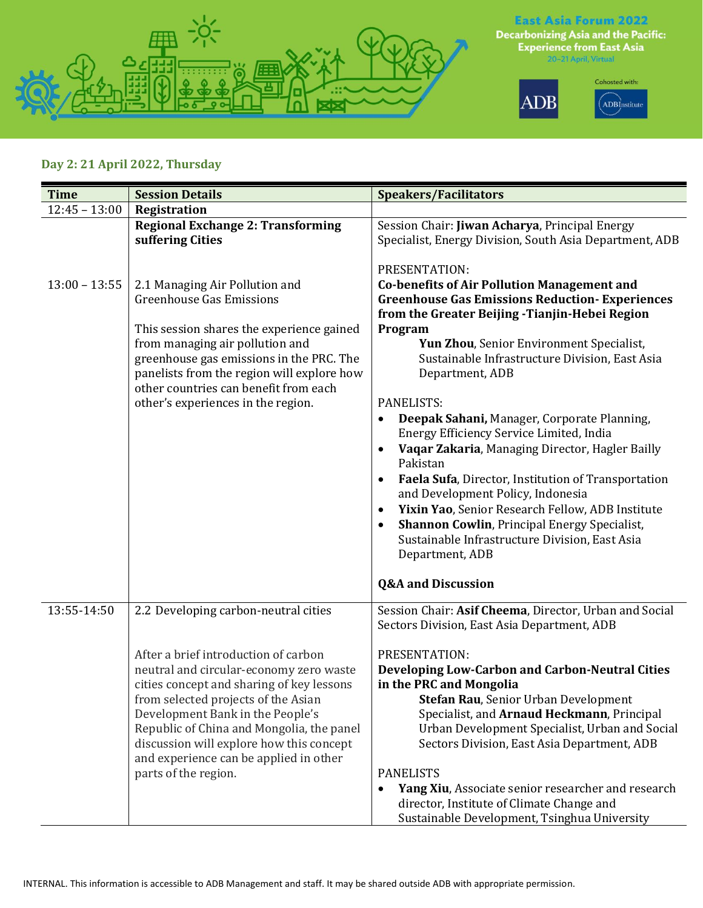

## **Day 2: 21 April 2022, Thursday**

| Time            | <b>Session Details</b>                                                                                                                                                                                                                                                                                                                                             | <b>Speakers/Facilitators</b>                                                                                                                                                                                                                                                                                                                                                                                                                                                                                                                                                                                                                                                                                                                                                                                                |
|-----------------|--------------------------------------------------------------------------------------------------------------------------------------------------------------------------------------------------------------------------------------------------------------------------------------------------------------------------------------------------------------------|-----------------------------------------------------------------------------------------------------------------------------------------------------------------------------------------------------------------------------------------------------------------------------------------------------------------------------------------------------------------------------------------------------------------------------------------------------------------------------------------------------------------------------------------------------------------------------------------------------------------------------------------------------------------------------------------------------------------------------------------------------------------------------------------------------------------------------|
| $12:45 - 13:00$ | Registration                                                                                                                                                                                                                                                                                                                                                       |                                                                                                                                                                                                                                                                                                                                                                                                                                                                                                                                                                                                                                                                                                                                                                                                                             |
|                 | <b>Regional Exchange 2: Transforming</b><br>suffering Cities                                                                                                                                                                                                                                                                                                       | Session Chair: Jiwan Acharya, Principal Energy<br>Specialist, Energy Division, South Asia Department, ADB                                                                                                                                                                                                                                                                                                                                                                                                                                                                                                                                                                                                                                                                                                                   |
| $13:00 - 13:55$ | 2.1 Managing Air Pollution and<br><b>Greenhouse Gas Emissions</b><br>This session shares the experience gained<br>from managing air pollution and<br>greenhouse gas emissions in the PRC. The<br>panelists from the region will explore how<br>other countries can benefit from each<br>other's experiences in the region.                                         | PRESENTATION:<br><b>Co-benefits of Air Pollution Management and</b><br><b>Greenhouse Gas Emissions Reduction- Experiences</b><br>from the Greater Beijing - Tianjin-Hebei Region<br>Program<br>Yun Zhou, Senior Environment Specialist,<br>Sustainable Infrastructure Division, East Asia<br>Department, ADB<br>PANELISTS:<br>Deepak Sahani, Manager, Corporate Planning,<br>Energy Efficiency Service Limited, India<br>Vaqar Zakaria, Managing Director, Hagler Bailly<br>Pakistan<br>Faela Sufa, Director, Institution of Transportation<br>and Development Policy, Indonesia<br>Yixin Yao, Senior Research Fellow, ADB Institute<br>$\bullet$<br><b>Shannon Cowlin, Principal Energy Specialist,</b><br>$\bullet$<br>Sustainable Infrastructure Division, East Asia<br>Department, ADB<br><b>Q&amp;A and Discussion</b> |
| 13:55-14:50     | 2.2 Developing carbon-neutral cities                                                                                                                                                                                                                                                                                                                               | Session Chair: Asif Cheema, Director, Urban and Social<br>Sectors Division, East Asia Department, ADB                                                                                                                                                                                                                                                                                                                                                                                                                                                                                                                                                                                                                                                                                                                       |
|                 | After a brief introduction of carbon<br>neutral and circular-economy zero waste<br>cities concept and sharing of key lessons<br>from selected projects of the Asian<br>Development Bank in the People's<br>Republic of China and Mongolia, the panel<br>discussion will explore how this concept<br>and experience can be applied in other<br>parts of the region. | PRESENTATION:<br><b>Developing Low-Carbon and Carbon-Neutral Cities</b><br>in the PRC and Mongolia<br><b>Stefan Rau, Senior Urban Development</b><br>Specialist, and Arnaud Heckmann, Principal<br>Urban Development Specialist, Urban and Social<br>Sectors Division, East Asia Department, ADB<br><b>PANELISTS</b><br>Yang Xiu, Associate senior researcher and research<br>٠<br>director, Institute of Climate Change and<br>Sustainable Development, Tsinghua University                                                                                                                                                                                                                                                                                                                                                |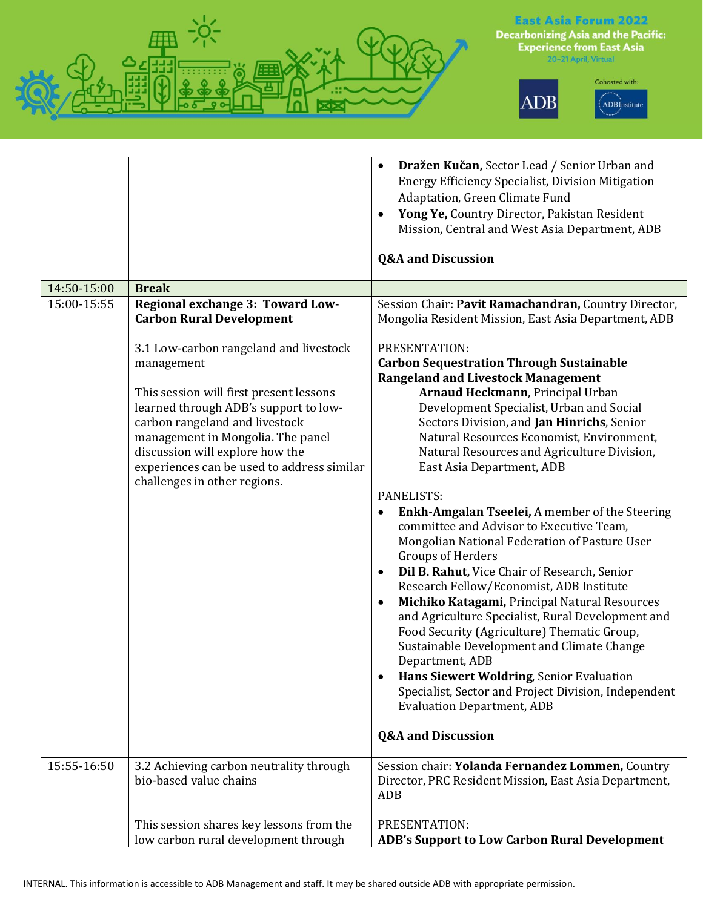

## **East Asia Forum 2022**

**Decarbonizing Asia and the Pacific:**<br>Experience from East Asia<br><sup>20-21</sup> April, Virtual





|             |                                                                                                                                                                                                                                                                                                  | Dražen Kučan, Sector Lead / Senior Urban and<br>$\bullet$<br><b>Energy Efficiency Specialist, Division Mitigation</b><br>Adaptation, Green Climate Fund<br>Yong Ye, Country Director, Pakistan Resident<br>$\bullet$<br>Mission, Central and West Asia Department, ADB                                                                                                                                                                                                                                                                                                                                                                                                                                                   |
|-------------|--------------------------------------------------------------------------------------------------------------------------------------------------------------------------------------------------------------------------------------------------------------------------------------------------|--------------------------------------------------------------------------------------------------------------------------------------------------------------------------------------------------------------------------------------------------------------------------------------------------------------------------------------------------------------------------------------------------------------------------------------------------------------------------------------------------------------------------------------------------------------------------------------------------------------------------------------------------------------------------------------------------------------------------|
|             |                                                                                                                                                                                                                                                                                                  | <b>Q&amp;A and Discussion</b>                                                                                                                                                                                                                                                                                                                                                                                                                                                                                                                                                                                                                                                                                            |
| 14:50-15:00 | <b>Break</b>                                                                                                                                                                                                                                                                                     |                                                                                                                                                                                                                                                                                                                                                                                                                                                                                                                                                                                                                                                                                                                          |
| 15:00-15:55 | Regional exchange 3: Toward Low-<br><b>Carbon Rural Development</b>                                                                                                                                                                                                                              | Session Chair: Pavit Ramachandran, Country Director,<br>Mongolia Resident Mission, East Asia Department, ADB                                                                                                                                                                                                                                                                                                                                                                                                                                                                                                                                                                                                             |
|             | 3.1 Low-carbon rangeland and livestock<br>management<br>This session will first present lessons<br>learned through ADB's support to low-<br>carbon rangeland and livestock<br>management in Mongolia. The panel<br>discussion will explore how the<br>experiences can be used to address similar | PRESENTATION:<br><b>Carbon Sequestration Through Sustainable</b><br><b>Rangeland and Livestock Management</b><br>Arnaud Heckmann, Principal Urban<br>Development Specialist, Urban and Social<br>Sectors Division, and Jan Hinrichs, Senior<br>Natural Resources Economist, Environment,<br>Natural Resources and Agriculture Division,<br>East Asia Department, ADB                                                                                                                                                                                                                                                                                                                                                     |
|             | challenges in other regions.                                                                                                                                                                                                                                                                     | PANELISTS:<br>Enkh-Amgalan Tseelei, A member of the Steering<br>$\bullet$<br>committee and Advisor to Executive Team,<br>Mongolian National Federation of Pasture User<br><b>Groups of Herders</b><br>Dil B. Rahut, Vice Chair of Research, Senior<br>$\bullet$<br>Research Fellow/Economist, ADB Institute<br>Michiko Katagami, Principal Natural Resources<br>$\bullet$<br>and Agriculture Specialist, Rural Development and<br>Food Security (Agriculture) Thematic Group,<br>Sustainable Development and Climate Change<br>Department, ADB<br>Hans Siewert Woldring, Senior Evaluation<br>Specialist, Sector and Project Division, Independent<br><b>Evaluation Department, ADB</b><br><b>Q&amp;A and Discussion</b> |
| 15:55-16:50 | 3.2 Achieving carbon neutrality through<br>bio-based value chains                                                                                                                                                                                                                                | Session chair: Yolanda Fernandez Lommen, Country<br>Director, PRC Resident Mission, East Asia Department,<br>ADB                                                                                                                                                                                                                                                                                                                                                                                                                                                                                                                                                                                                         |
|             | This session shares key lessons from the<br>low carbon rural development through                                                                                                                                                                                                                 | PRESENTATION:<br>ADB's Support to Low Carbon Rural Development                                                                                                                                                                                                                                                                                                                                                                                                                                                                                                                                                                                                                                                           |